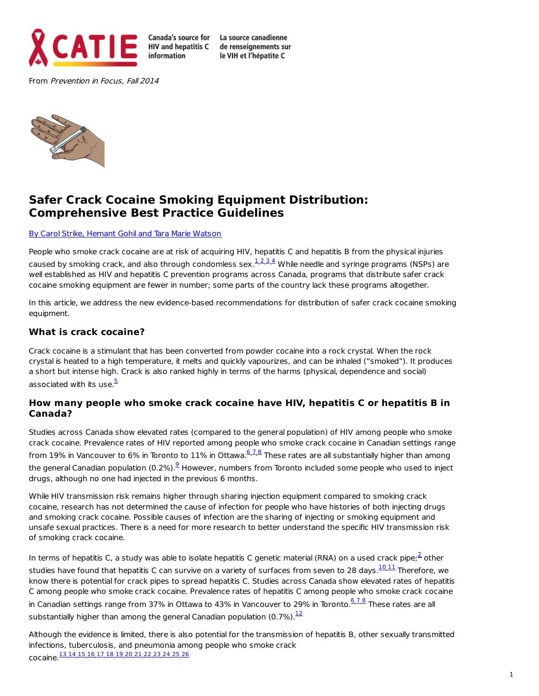

**HIV** and hepatitis C information

Canada's source for La source canadienne de renseianements sur le VIH et l'hépatite C

From Prevention in Focus, Fall 2014



# **Safer Crack Cocaine Smoking Equipment Distribution: Comprehensive Best Practice Guidelines**

#### By Carol Strike, [Hemant](file:///tmp/wktemp-2a054cda-f6b3-4756-bd0b-ada122f73fd0.html#bios) Gohil and Tara Marie Watson

People who smoke crack cocaine are at risk of acquiring HIV, hepatitis C and hepatitis B from the physical injuries caused by smoking crack, and also through condomless sex. $^{1,2,3,4}_{-}$  $^{1,2,3,4}_{-}$  $^{1,2,3,4}_{-}$  $^{1,2,3,4}_{-}$  $^{1,2,3,4}_{-}$  $^{1,2,3,4}_{-}$  $^{1,2,3,4}_{-}$  $^{1,2,3,4}_{-}$  $^{1,2,3,4}_{-}$  While needle and syringe programs (NSPs) are well established as HIV and hepatitis C prevention programs across Canada, programs that distribute safer crack cocaine smoking equipment are fewer in number; some parts of the country lack these programs altogether.

In this article, we address the new evidence-based recommendations for distribution of safer crack cocaine smoking equipment.

#### **What is crack cocaine?**

Crack cocaine is a stimulant that has been converted from powder cocaine into a rock crystal. When the rock crystal is heated to a high temperature, it melts and quickly vapourizes, and can be inhaled ("smoked"). It produces a short but intense high. Crack is also ranked highly in terms of the harms (physical, dependence and social) associated with its use.<sup>[5](file:///tmp/wktemp-2a054cda-f6b3-4756-bd0b-ada122f73fd0.html#footnote5_37z89gr)</sup>

#### **How many people who smoke crack cocaine have HIV, hepatitis C or hepatitis B in Canada?**

Studies across Canada show elevated rates (compared to the general population) of HIV among people who smoke crack cocaine. Prevalence rates of HIV reported among people who smoke crack cocaine in Canadian settings range from 19% in Vancouver to [6](file:///tmp/wktemp-2a054cda-f6b3-4756-bd0b-ada122f73fd0.html#footnote6_qex6lyg)% in Toronto to 11% in Ottawa.<sup><u>6,[7](file:///tmp/wktemp-2a054cda-f6b3-4756-bd0b-ada122f73fd0.html#footnote7_4eoaswm),[8](file:///tmp/wktemp-2a054cda-f6b3-4756-bd0b-ada122f73fd0.html#footnote8_07z04oc)</u> These rates are all substantially higher than among</sup> the general Canadian population (0.2%). $^{\textcircled{\text{}}\,}$  However, numbers from Toronto included some people who used to inject drugs, although no one had injected in the previous 6 months.

While HIV transmission risk remains higher through sharing injection equipment compared to smoking crack cocaine, research has not determined the cause of infection for people who have histories of both injecting drugs and smoking crack cocaine. Possible causes of infection are the sharing of injecting or smoking equipment and unsafe sexual practices. There is a need for more research to better understand the specific HIV transmission risk of smoking crack cocaine.

In terms of hepatitis C, a study was able to isolate hepatitis C genetic material (RNA) on a used crack pipe; $^2$  $^2$  other studies have found that hepatitis C can survive on a variety of surfaces from seven to 28 days.<sup>[10](file:///tmp/wktemp-2a054cda-f6b3-4756-bd0b-ada122f73fd0.html#footnote10_me9f741),[11](file:///tmp/wktemp-2a054cda-f6b3-4756-bd0b-ada122f73fd0.html#footnote11_xlg192a)</sup> Therefore, we know there is potential for crack pipes to spread hepatitis C. Studies across Canada show elevated rates of hepatitis C among people who smoke crack cocaine. Prevalence rates of hepatitis C among people who smoke crack cocaine in Canadian settings range from 37% in Ottawa to 43% in Vancouver to 29% in Toronto.<sup>[6](file:///tmp/wktemp-2a054cda-f6b3-4756-bd0b-ada122f73fd0.html#footnote6_qex6lyg),[7](file:///tmp/wktemp-2a054cda-f6b3-4756-bd0b-ada122f73fd0.html#footnote7_4eoaswm),[8](file:///tmp/wktemp-2a054cda-f6b3-4756-bd0b-ada122f73fd0.html#footnote8_07z04oc)</sup> These rates are all substantially higher than among the general Canadian population (0.7%). $^{\overline{12}}$  $^{\overline{12}}$  $^{\overline{12}}$ 

Although the evidence is limited, there is also potential for the transmission of hepatitis B, other sexually transmitted infections, tuberculosis, and pneumonia among people who smoke crack cocaine.<sup>[13](file:///tmp/wktemp-2a054cda-f6b3-4756-bd0b-ada122f73fd0.html#footnote13_hhrl185),[14](file:///tmp/wktemp-2a054cda-f6b3-4756-bd0b-ada122f73fd0.html#footnote14_w5puwi0)</sup>,[15](file:///tmp/wktemp-2a054cda-f6b3-4756-bd0b-ada122f73fd0.html#footnote15_3kmusyb),[16](file:///tmp/wktemp-2a054cda-f6b3-4756-bd0b-ada122f73fd0.html#footnote16_ijnepa0),[17](file:///tmp/wktemp-2a054cda-f6b3-4756-bd0b-ada122f73fd0.html#footnote17_jn1phq2),[18](file:///tmp/wktemp-2a054cda-f6b3-4756-bd0b-ada122f73fd0.html#footnote18_fe7nmc1),[19](file:///tmp/wktemp-2a054cda-f6b3-4756-bd0b-ada122f73fd0.html#footnote19_8kf6d9c),[20](file:///tmp/wktemp-2a054cda-f6b3-4756-bd0b-ada122f73fd0.html#footnote20_7b4uoop),[21](file:///tmp/wktemp-2a054cda-f6b3-4756-bd0b-ada122f73fd0.html#footnote21_sb1zjdq),[22](file:///tmp/wktemp-2a054cda-f6b3-4756-bd0b-ada122f73fd0.html#footnote22_x4bteem),[23](file:///tmp/wktemp-2a054cda-f6b3-4756-bd0b-ada122f73fd0.html#footnote23_w0h8hti),[24](file:///tmp/wktemp-2a054cda-f6b3-4756-bd0b-ada122f73fd0.html#footnote24_7y5bszl),[25](file:///tmp/wktemp-2a054cda-f6b3-4756-bd0b-ada122f73fd0.html#footnote25_w934dex),[26](file:///tmp/wktemp-2a054cda-f6b3-4756-bd0b-ada122f73fd0.html#footnote26_atdnjre)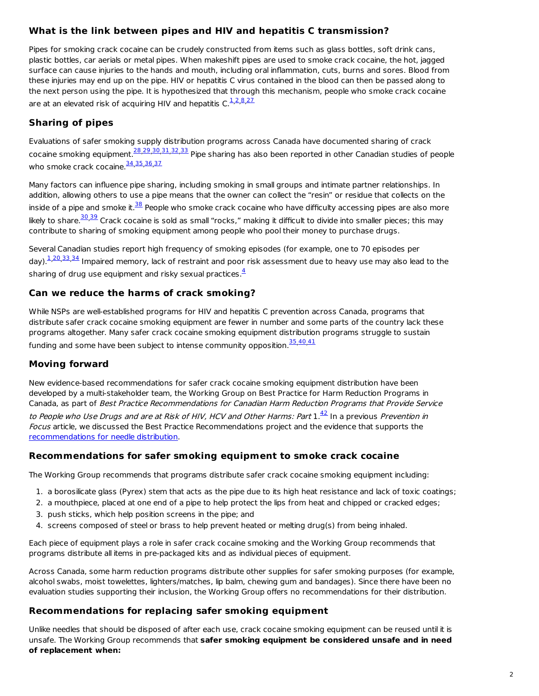## **What is the link between pipes and HIV and hepatitis C transmission?**

Pipes for smoking crack cocaine can be crudely constructed from items such as glass bottles, soft drink cans, plastic bottles, car aerials or metal pipes. When makeshift pipes are used to smoke crack cocaine, the hot, jagged surface can cause injuries to the hands and mouth, including oral inflammation, cuts, burns and sores. Blood from these injuries may end up on the pipe. HIV or hepatitis C virus contained in the blood can then be passed along to the next person using the pipe. It is hypothesized that through this mechanism, people who smoke crack cocaine are at an elevated risk of acquiring HIV and hepatitis C. $^{1,2,8,27}$  $^{1,2,8,27}$  $^{1,2,8,27}$  $^{1,2,8,27}$  $^{1,2,8,27}$  $^{1,2,8,27}$  $^{1,2,8,27}$  $^{1,2,8,27}$  $^{1,2,8,27}$ 

## **Sharing of pipes**

Evaluations of safer smoking supply distribution programs across Canada have documented sharing of crack cocaine smoking equipment.<sup>[28](file:///tmp/wktemp-2a054cda-f6b3-4756-bd0b-ada122f73fd0.html#footnote28_pmtffjz),[29](file:///tmp/wktemp-2a054cda-f6b3-4756-bd0b-ada122f73fd0.html#footnote29_g92psxu),[30](file:///tmp/wktemp-2a054cda-f6b3-4756-bd0b-ada122f73fd0.html#footnote30_00oq0u2),[31](file:///tmp/wktemp-2a054cda-f6b3-4756-bd0b-ada122f73fd0.html#footnote31_94pc0uu),[32](file:///tmp/wktemp-2a054cda-f6b3-4756-bd0b-ada122f73fd0.html#footnote32_7dgq2yq),[33](file:///tmp/wktemp-2a054cda-f6b3-4756-bd0b-ada122f73fd0.html#footnote33_2mdym5q)</sup> Pipe sharing has also been reported in other Canadian studies of people who smoke crack cocaine.<sup>[34](file:///tmp/wktemp-2a054cda-f6b3-4756-bd0b-ada122f73fd0.html#footnote34_qjtgsjw),[35](file:///tmp/wktemp-2a054cda-f6b3-4756-bd0b-ada122f73fd0.html#footnote35_9tb6mau),[36](file:///tmp/wktemp-2a054cda-f6b3-4756-bd0b-ada122f73fd0.html#footnote36_b1nnzq9),[37](file:///tmp/wktemp-2a054cda-f6b3-4756-bd0b-ada122f73fd0.html#footnote37_wzfbpka)</sup>

Many factors can influence pipe sharing, including smoking in small groups and intimate partner relationships. In addition, allowing others to use a pipe means that the owner can collect the "resin" or residue that collects on the inside of a pipe and smoke it.<sup>[38](file:///tmp/wktemp-2a054cda-f6b3-4756-bd0b-ada122f73fd0.html#footnote38_pflqn6i)</sup> People who smoke crack cocaine who have difficulty accessing pipes are also more likely to share.<sup>[30](file:///tmp/wktemp-2a054cda-f6b3-4756-bd0b-ada122f73fd0.html#footnote30_00oq0u2),[39](file:///tmp/wktemp-2a054cda-f6b3-4756-bd0b-ada122f73fd0.html#footnote39_73y1b9x)</sup> Crack cocaine is sold as small "rocks," making it difficult to divide into smaller pieces; this may contribute to sharing of smoking equipment among people who pool their money to purchase drugs.

Several Canadian studies report high frequency of smoking episodes (for example, one to 70 episodes per day).<sup>[1](file:///tmp/wktemp-2a054cda-f6b3-4756-bd0b-ada122f73fd0.html#footnote1_u64h0xi),[20](file:///tmp/wktemp-2a054cda-f6b3-4756-bd0b-ada122f73fd0.html#footnote20_7b4uoop),[33](file:///tmp/wktemp-2a054cda-f6b3-4756-bd0b-ada122f73fd0.html#footnote33_2mdym5q),[34](file:///tmp/wktemp-2a054cda-f6b3-4756-bd0b-ada122f73fd0.html#footnote34_qjtgsjw)</sup> Impaired memory, lack of restraint and poor risk assessment due to heavy use may also lead to the sharing of drug use equipment and risky sexual practices. $\frac{4}{7}$  $\frac{4}{7}$  $\frac{4}{7}$ 

## **Can we reduce the harms of crack smoking?**

While NSPs are well-established programs for HIV and hepatitis C prevention across Canada, programs that distribute safer crack cocaine smoking equipment are fewer in number and some parts of the country lack these programs altogether. Many safer crack cocaine smoking equipment distribution programs struggle to sustain funding and some have been subject to intense community opposition. $\frac{35,40,41}{2}$  $\frac{35,40,41}{2}$  $\frac{35,40,41}{2}$  $\frac{35,40,41}{2}$  $\frac{35,40,41}{2}$  $\frac{35,40,41}{2}$  $\frac{35,40,41}{2}$ 

## **Moving forward**

New evidence-based recommendations for safer crack cocaine smoking equipment distribution have been developed by a multi-stakeholder team, the Working Group on Best Practice for Harm Reduction Programs in Canada, as part of Best Practice Recommendations for Canadian Harm Reduction Programs that Provide Service to People who Use Drugs and are at Risk of HIV, HCV and Other Harms: Part  $1.^{\frac{42}{\cdots}}$  $1.^{\frac{42}{\cdots}}$  $1.^{\frac{42}{\cdots}}$  In a previous Prevention in Focus article, we discussed the Best Practice Recommendations project and the evidence that supports the [recommendations](http://www.catie.ca/en/pif/spring-2014/new-best-practice-guidelines-harm-reduction-programs-promote-needle-distribution) for needle distribution.

### **Recommendations for safer smoking equipment to smoke crack cocaine**

The Working Group recommends that programs distribute safer crack cocaine smoking equipment including:

- 1. a borosilicate glass (Pyrex) stem that acts as the pipe due to its high heat resistance and lack of toxic coatings;
- 2. a mouthpiece, placed at one end of a pipe to help protect the lips from heat and chipped or cracked edges;
- 3. push sticks, which help position screens in the pipe; and
- 4. screens composed of steel or brass to help prevent heated or melting drug(s) from being inhaled.

Each piece of equipment plays a role in safer crack cocaine smoking and the Working Group recommends that programs distribute all items in pre-packaged kits and as individual pieces of equipment.

Across Canada, some harm reduction programs distribute other supplies for safer smoking purposes (for example, alcohol swabs, moist towelettes, lighters/matches, lip balm, chewing gum and bandages). Since there have been no evaluation studies supporting their inclusion, the Working Group offers no recommendations for their distribution.

## **Recommendations for replacing safer smoking equipment**

Unlike needles that should be disposed of after each use, crack cocaine smoking equipment can be reused until it is unsafe. The Working Group recommends that **safer smoking equipment be considered unsafe and in need of replacement when:**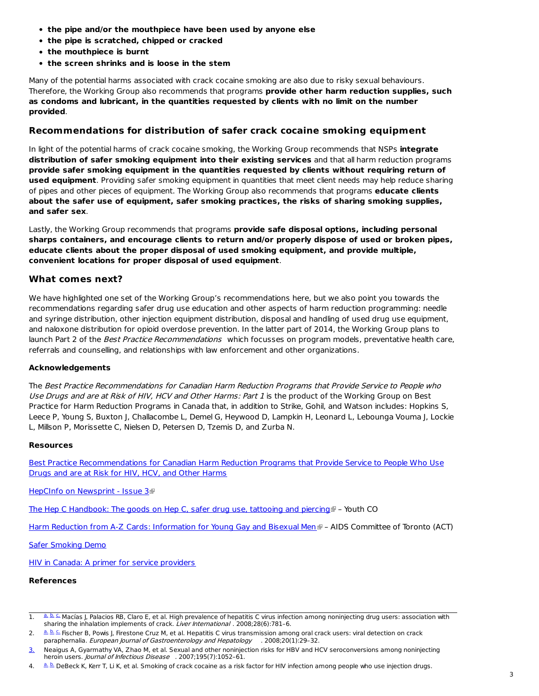- **the pipe and/or the mouthpiece have been used by anyone else**
- **the pipe is scratched, chipped or cracked**
- **the mouthpiece is burnt**
- **the screen shrinks and is loose in the stem**

Many of the potential harms associated with crack cocaine smoking are also due to risky sexual behaviours. Therefore, the Working Group also recommends that programs **provide other harm reduction supplies, such as condoms and lubricant, in the quantities requested by clients with no limit on the number provided**.

#### **Recommendations for distribution of safer crack cocaine smoking equipment**

In light of the potential harms of crack cocaine smoking, the Working Group recommends that NSPs **integrate distribution of safer smoking equipment into their existing services** and that all harm reduction programs **provide safer smoking equipment in the quantities requested by clients without requiring return of used equipment**. Providing safer smoking equipment in quantities that meet client needs may help reduce sharing of pipes and other pieces of equipment. The Working Group also recommends that programs **educate clients about the safer use of equipment, safer smoking practices, the risks of sharing smoking supplies, and safer sex**.

Lastly, the Working Group recommends that programs **provide safe disposal options, including personal sharps containers, and encourage clients to return and/or properly dispose of used or broken pipes, educate clients about the proper disposal of used smoking equipment, and provide multiple, convenient locations for proper disposal of used equipment**.

#### **What comes next?**

We have highlighted one set of the Working Group's recommendations here, but we also point you towards the recommendations regarding safer drug use education and other aspects of harm reduction programming: needle and syringe distribution, other injection equipment distribution, disposal and handling of used drug use equipment, and naloxone distribution for opioid overdose prevention. In the latter part of 2014, the Working Group plans to launch Part 2 of the Best Practice Recommendations which focusses on program models, preventative health care, referrals and counselling, and relationships with law enforcement and other organizations.

#### **Acknowledgements**

The Best Practice Recommendations for Canadian Harm Reduction Programs that Provide Service to People who Use Drugs and are at Risk of HIV, HCV and Other Harms: Part 1 is the product of the Working Group on Best Practice for Harm Reduction Programs in Canada that, in addition to Strike, Gohil, and Watson includes: Hopkins S, Leece P, Young S, Buxton J, Challacombe L, Demel G, Heywood D, Lampkin H, Leonard L, Lebounga Vouma J, Lockie L, Millson P, Morissette C, Nielsen D, Petersen D, Tzemis D, and Zurba N.

#### **Resources**

Best Practice [Recommendations](http://www.catie.ca/sites/default/files/bestpractice-harmreduction.pdf) for Canadian Harm Reduction Programs that Provide Service to People Who Use Drugs and are at Risk for HIV, HCV, and Other Harms

HepCInfo on [Newsprint](http://librarypdf.catie.ca/pdf/ATI-70000s/70117_3.pdf) - Issue 3

The Hep C [Handbook:](http://librarypdf.catie.ca/PDF/ATI-30000s/30059.pdf) The goods on Hep C, safer drug use, tattooing and piercing  $\blacksquare$  - Youth CO

Harm Reduction from A-Z Cards: [Information](http://librarypdf.catie.ca/PDF/ATI-30000s/30037.pdf) for Young Gay and Bisexual Men F - AIDS Committee of Toronto (ACT)

Safer [Smoking](http://www.catie.ca/en/resources/safer-crack-smoking-demo) Demo

HIV in Canada: A primer for service [providers](http://www.catie.ca/en/hiv-canada)

#### **References**

1. [a.](file:///tmp/wktemp-2a054cda-f6b3-4756-bd0b-ada122f73fd0.html#footnoteref1_u64h0xi) [b.](file:///tmp/wktemp-2a054cda-f6b3-4756-bd0b-ada122f73fd0.html#footnoteref1_5olt4gc) C. Macías J, Palacios RB, Claro E, et al. High prevalence of hepatitis C virus infection among noninjecting drug users: association with sharing the inhalation implements of crack. Liver International . 2008;28(6):781–6.

<sup>2.</sup> L[a.](file:///tmp/wktemp-2a054cda-f6b3-4756-bd0b-ada122f73fd0.html#footnoteref2_gl628wy) [b.](file:///tmp/wktemp-2a054cda-f6b3-4756-bd0b-ada122f73fd0.html#footnoteref2_qqrzmkp) C. Fischer B, Powis J, Firestone Cruz M, et al. Hepatitis C virus transmission among oral crack users: viral detection on crack paraphernalia. European Journal of Gastroenterology and Hepatology . 2008;20(1):29-32.

[<sup>3.</sup>](file:///tmp/wktemp-2a054cda-f6b3-4756-bd0b-ada122f73fd0.html#footnoteref3_suin8yr) Neaigus A, Gyarmathy VA, Zhao M, et al. Sexual and other noninjection risks for HBV and HCV seroconversions among noninjecting heroin users. *Journal of Infectious Disease* . 2007:195(7):1052-61.

<sup>4.</sup> Lea La DeBeck K, Kerr T, Li K, et al. Smoking of crack cocaine as a risk factor for HIV infection among people who use injection drugs.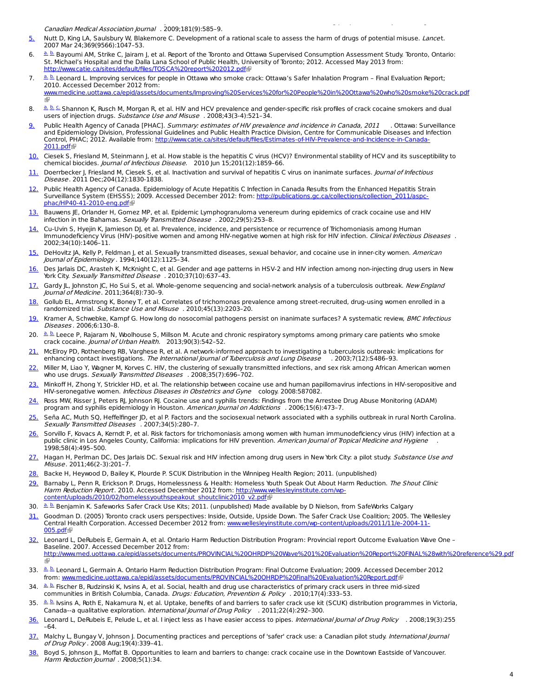Canadian Medical Association Journal . 2009;181(9):585–9.

- Nutt D, King LA, Saulsbury W, Blakemore C. Development of a rational scale to assess the harm of drugs of potential misuse. Lancet. 2007 Mar 24;369(9566):1047–53. [5.](file:///tmp/wktemp-2a054cda-f6b3-4756-bd0b-ada122f73fd0.html#footnoteref5_37z89gr)
- <sup>[a.](file:///tmp/wktemp-2a054cda-f6b3-4756-bd0b-ada122f73fd0.html#footnoteref6_qex6lyg) [b.](file:///tmp/wktemp-2a054cda-f6b3-4756-bd0b-ada122f73fd0.html#footnoteref6_0uchmlu)</sup> Bayoumi AM, Strike C, Jairam J, et al. Report of the Toronto and Ottawa Supervised Consumption Assessment Study. Toronto, Ontario: St. Michael's Hospital and the Dalla Lana School of Public Health, University of Toronto; 2012. Accessed May 2013 from: [http://www.catie.ca/sites/default/files/TOSCA%20report%202012.pdf](http://www.catie.ca/sites/default/files/TOSCA report 2012.pdf)a 6.
- [a.](file:///tmp/wktemp-2a054cda-f6b3-4756-bd0b-ada122f73fd0.html#footnoteref7_4eoaswm) [b.](file:///tmp/wktemp-2a054cda-f6b3-4756-bd0b-ada122f73fd0.html#footnoteref7_o91qrbo) Leonard L. Improving services for people in Ottawa who smoke crack: Ottawa's Safer Inhalation Program Final Evaluation Report; 2010. Accessed December 2012 from: 7.

ww.medicine.uottawa.ca/epid/assets/documents/Improving%20Services%20for%20People%20in%20Ottawa%20who%20smoke%20crack.pdf<br>图

- ه قد Ghannon K, Rusch M, Morgan R, et al. HIV and HCV prevalence and gender-specific risk profiles of crack cocaine smokers and dual users of injection drugs. Substance Use and Misuse . 2008;43(3-4):521-34. 8.
- Public Health Agency of Canada [PHAC]. *Summary: estimates of HIV prevalence and incidence in Canada, 2011* . Ottawa: Surveillance and Epidemiology Division, Professional Guidelines and Public Health Practice Division, Centre for Communicable Diseases and Infection Control, PHAC; 2012. Available from: [http://www.catie.ca/sites/default/files/Estimates-of-HIV-Prevalence-and-Incidence-in-Canada-](http://www.catie.ca/sites/default/files/Estimates-of-HIV-Prevalence-and-Incidence-in-Canada-2011.pdf)2011.pdf<sup>ap</sup> [9.](file:///tmp/wktemp-2a054cda-f6b3-4756-bd0b-ada122f73fd0.html#footnoteref9_0drhhcf)
- [10.](file:///tmp/wktemp-2a054cda-f6b3-4756-bd0b-ada122f73fd0.html#footnoteref10_me9f741) Ciesek S, Friesland M, Steinmann J, et al. How stable is the hepatitis C virus (HCV)? Environmental stability of HCV and its susceptibility to chemical biocides. Journal of Infectious Disease. 2010 Jun 15;201(12):1859–66.
- [11.](file:///tmp/wktemp-2a054cda-f6b3-4756-bd0b-ada122f73fd0.html#footnoteref11_xlg192a) Doerrbecker J, Friesland M, Ciesek S, et al. Inactivation and survival of hepatitis C virus on inanimate surfaces. Journal of Infectious Disease . 2011 Dec;204(12):1830-1838.
- [12.](file:///tmp/wktemp-2a054cda-f6b3-4756-bd0b-ada122f73fd0.html#footnoteref12_q5ta6d6) Public Health Agency of Canada. Epidemiology of Acute Hepatitis C Infection in Canada Results from the Enhanced Hepatitis Strain Surveillance System (EHSSS); 2009. Accessed December 2012: from: [http://publications.gc.ca/collections/collection\\_2011/aspc](http://publications.gc.ca/collections/collection_2011/aspc-phac/HP40-41-2010-eng.pdf)phac/HP40-41-2010-eng.pdf
- Bauwens JE, Orlander H, Gomez MP, et al. Epidemic Lymphogranuloma venereum during epidemics of crack cocaine use and HIV infection in the Bahamas. Sexually Transmitted Disease . 2002;29(5):253-8. [13.](file:///tmp/wktemp-2a054cda-f6b3-4756-bd0b-ada122f73fd0.html#footnoteref13_hhrl185)
- [14.](file:///tmp/wktemp-2a054cda-f6b3-4756-bd0b-ada122f73fd0.html#footnoteref14_w5puwi0) Cu-Uvin S, Hyejin K, Jamieson DJ, et al. Prevalence, incidence, and persistence or recurrence of Trichomoniasis among Human Immunodeficiency Virus (HIV)-positive women and among HIV-negative women at high risk for HIV infection. Clinical Infectious Diseases. 2002;34(10):1406–11.
- DeHovitz JA, Kelly P, Feldman J, et al. Sexually transmitted diseases, sexual behavior, and cocaine use in inner-city women. *American* Journal of Epidemiology . 1994;140(12):1125–34. [15.](file:///tmp/wktemp-2a054cda-f6b3-4756-bd0b-ada122f73fd0.html#footnoteref15_3kmusyb)
- [16.](file:///tmp/wktemp-2a054cda-f6b3-4756-bd0b-ada122f73fd0.html#footnoteref16_ijnepa0) Des Jarlais DC, Arasteh K, McKnight C, et al. Gender and age patterns in HSV-2 and HIV infection among non-injecting drug users in New York City. Sexually Transmitted Disease . 2010;37(10):637-43.
- [17.](file:///tmp/wktemp-2a054cda-f6b3-4756-bd0b-ada122f73fd0.html#footnoteref17_jn1phq2) Gardy JL, Johnston JC, Ho Sui S, et al. Whole-genome sequencing and social-network analysis of a tuberculosis outbreak. New England Journal of Medicine . 2011;364(8):730–9.
- Gollub EL, Armstrong K, Boney T, et al. Correlates of trichomonas prevalence among street-recruited, drug-using women enrolled in a randomized trial. Substance Use and Misuse . 2010;45(13):2203-20. [18.](file:///tmp/wktemp-2a054cda-f6b3-4756-bd0b-ada122f73fd0.html#footnoteref18_fe7nmc1)
- Kramer A, Schwebke, Kampf G. How long do nosocomial pathogens persist on inanimate surfaces? A systematic review, BMC Infectious Diseases . 2006;6:130–8. [19.](file:///tmp/wktemp-2a054cda-f6b3-4756-bd0b-ada122f73fd0.html#footnoteref19_8kf6d9c)
- Leece P, Rajaram N, Woolhouse S, Millson M. Acute and chronic respiratory symptoms among primary care patients who smoke crack cocaine. Journal of Urban Health. 2013;90(3):542-52. 20. <u>[a.](file:///tmp/wktemp-2a054cda-f6b3-4756-bd0b-ada122f73fd0.html#footnoteref20_7b4uoop) [b.](file:///tmp/wktemp-2a054cda-f6b3-4756-bd0b-ada122f73fd0.html#footnoteref20_eqrew99)</u>
- [21.](file:///tmp/wktemp-2a054cda-f6b3-4756-bd0b-ada122f73fd0.html#footnoteref21_sb1zjdq) McElroy PD, Rothenberg RB, Varghese R, et al. A network-informed approach to investigating a tuberculosis outbreak: implications for enhancing contact investigations. The International Journal of Tuberculosis and Lung Disease . 2003;7(12):S486-93.
- [22.](file:///tmp/wktemp-2a054cda-f6b3-4756-bd0b-ada122f73fd0.html#footnoteref22_x4bteem) Miller M, Liao Y, Wagner M, Korves C. HIV, the clustering of sexually transmitted infections, and sex risk among African American women who use drugs. Sexually Transmitted Diseases . 2008;35(7):696-702.
- Minkoff H, Zhong Y, Strickler HD, et al. The relationship between cocaine use and human papillomavirus infections in HIV-seropositive and HIV-seronegative women. Infectious Diseases in Obstetrics and Gyne cology. 2008:587082. [23.](file:///tmp/wktemp-2a054cda-f6b3-4756-bd0b-ada122f73fd0.html#footnoteref23_w0h8hti)
- [24.](file:///tmp/wktemp-2a054cda-f6b3-4756-bd0b-ada122f73fd0.html#footnoteref24_7y5bszl) Ross MW, Risser J, Peters RJ, Johnson RJ. Cocaine use and syphilis trends: Findings from the Arrestee Drug Abuse Monitoring (ADAM) program and syphilis epidemiology in Houston. American Journal on Addictions . 2006;15(6):473-7.
- Seña AC, Muth SQ, Heffelfinger JD, et al P. Factors and the sociosexual network associated with a syphilis outbreak in rural North Carolina. Sexually Transmitted Diseases . 2007;34(5):280–7. [25.](file:///tmp/wktemp-2a054cda-f6b3-4756-bd0b-ada122f73fd0.html#footnoteref25_w934dex)
- [26.](file:///tmp/wktemp-2a054cda-f6b3-4756-bd0b-ada122f73fd0.html#footnoteref26_atdnjre) Sorvillo F, Kovacs A, Kerndt P, et al. Risk factors for trichomoniasis among women with human immunodeficiency virus (HIV) infection at a public clinic in Los Angeles County, California: implications for HIV prevention. American Journal of Tropical Medicine and Hygiene 1998;58(4):495–500.
- [27.](file:///tmp/wktemp-2a054cda-f6b3-4756-bd0b-ada122f73fd0.html#footnoteref27_4dicf43) Hagan H, Perlman DC, Des Jarlais DC. Sexual risk and HIV infection among drug users in New York City: a pilot study. Substance Use and Misuse . 2011;46(2-3):201–7.
- [28.](file:///tmp/wktemp-2a054cda-f6b3-4756-bd0b-ada122f73fd0.html#footnoteref28_pmtffjz) Backe H, Heywood D, Bailey K, Plourde P. SCUK Distribution in the Winnipeg Health Region; 2011. (unpublished)
- [29.](file:///tmp/wktemp-2a054cda-f6b3-4756-bd0b-ada122f73fd0.html#footnoteref29_g92psxu) Barnaby L, Penn R, Erickson P. Drugs, Homelessness & Health: Homeless Youth Speak Out About Harm Reduction. *The Shout Clinic* Harm Reduction Report. 2010. Accessed December 2012 from: http://www.wellesleyinstitute.com/wp[content/uploads/2010/02/homelessyouthspeakout\\_shoutclinic2010\\_v2.pdf](http://www.wellesleyinstitute.com/wp-content/uploads/2010/02/homelessyouthspeakout_shoutclinic2010_v2.pdf)
- 30.  $a, b$  Benjamin K. Safeworks Safer Crack Use Kits; 2011. (unpublished) Made available by D Nielson, from SafeWorks Calgary
- [31.](file:///tmp/wktemp-2a054cda-f6b3-4756-bd0b-ada122f73fd0.html#footnoteref31_94pc0uu) Goodman D. (2005) Toronto crack users perspectives: Inside, Outside, Upside Down. The Safer Crack Use Coalition; 2005. The Wellesley Central Health Corporation. Accessed December 2012 from: [www.wellesleyinstitute.com/wp-content/uploads/2011/11/e-2004-11-](http://www.wellesleyinstitute.com/wp-content/uploads/2011/11/e-2004-11-005.pdf) **005.pdf**
- [32.](file:///tmp/wktemp-2a054cda-f6b3-4756-bd0b-ada122f73fd0.html#footnoteref32_7dgq2yq) Leonard L, DeRubeis E, Germain A, et al. Ontario Harm Reduction Distribution Program: Provincial report Outcome Evaluation Wave One -Baseline. 2007. Accessed December 2012 from: [http://www.med.uottawa.ca/epid/assets/documents/PROVINCIAL%20OHRDP%20Wave%201%20Evaluation%20Report%20FINAL%28with%20reference%29.pdf](http://www.med.uottawa.ca/epid/assets/documents/PROVINCIAL OHRDP Wave 1 Evaluation Report FINAL%28with reference%29.pdf)
- 33. Le Leonard L, Germain A. Ontario Harm Reduction Distribution Program: Final Outcome Evaluation; 2009. Accessed December 2012 from: www.medicine.uottawa.ca/epid/assets/documents/PROVINCIAL%20OHRDP%20Final%20Evaluation%20
- 34. La [b.](file:///tmp/wktemp-2a054cda-f6b3-4756-bd0b-ada122f73fd0.html#footnoteref34_7qwcfku) Fischer B, Rudzinski K, Ivsins A, et al. Social, health and drug use characteristics of primary crack users in three mid-sized communities in British Columbia, Canada. Drugs: Education, Prevention & Policy . 2010;17(4):333-53.
- **[a.](file:///tmp/wktemp-2a054cda-f6b3-4756-bd0b-ada122f73fd0.html#footnoteref35_9tb6mau) [b.](file:///tmp/wktemp-2a054cda-f6b3-4756-bd0b-ada122f73fd0.html#footnoteref35_di11usy) Ivsins A, Roth E, Nakamura N, et al. Uptake, benefits of and barriers to safer crack use kit (SCUK) distribution programmes in Victoria,** Canada--a qualitative exploration. International Journal of Drug Policy . 2011;22(4):292–300. 35.
- [36.](file:///tmp/wktemp-2a054cda-f6b3-4756-bd0b-ada122f73fd0.html#footnoteref36_b1nnzq9) Leonard L, DeRubeis E, Pelude L, et al. I inject less as I have easier access to pipes. *International Journal of Drug Policy* . 2008;19(3):255 –64.
- Malchy L, Bungay V, Johnson J. Documenting practices and perceptions of 'safer' crack use: a Canadian pilot study. *International Journal* of Drug Policy . 2008 Aug;19(4):339–41. [37.](file:///tmp/wktemp-2a054cda-f6b3-4756-bd0b-ada122f73fd0.html#footnoteref37_wzfbpka)
- Boyd S, Johnson JL, Moffat B. Opportunities to learn and barriers to change: crack cocaine use in the Downtown Eastside of Vancouver. Harm Reduction Journal . 2008;5(1):34. [38.](file:///tmp/wktemp-2a054cda-f6b3-4756-bd0b-ada122f73fd0.html#footnoteref38_pflqn6i)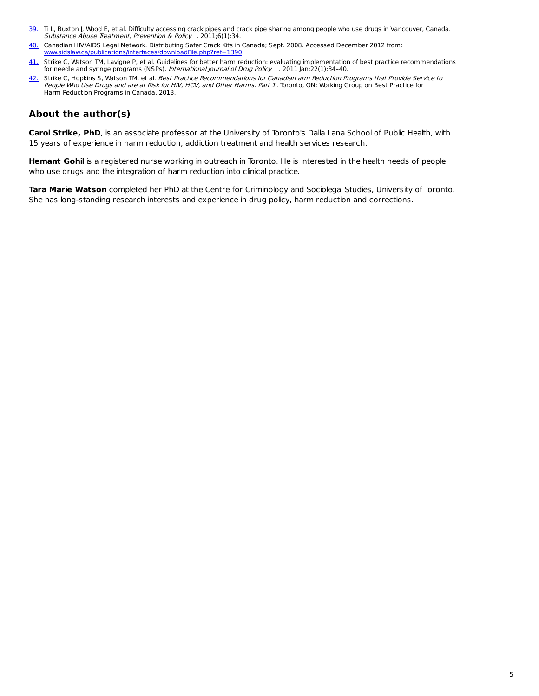- 39. Ti L, Buxton J, Wood E, et al. Difficulty accessing crack pipes and crack pipe sharing among people who use drugs in Vancouver, Canada. Substance Abuse Treatment, Prevention & Policy . 2011;6(1):34.
- [40.](file:///tmp/wktemp-2a054cda-f6b3-4756-bd0b-ada122f73fd0.html#footnoteref40_9ot176b) Canadian HIV/AIDS Legal Network. Distributing Safer Crack Kits in Canada; Sept. 2008. Accessed December 2012 from: [www.aidslaw.ca/publications/interfaces/downloadFile.php?ref=1390](http://www.aidslaw.ca/publications/interfaces/downloadFile.php?ref=1390)
- [41.](file:///tmp/wktemp-2a054cda-f6b3-4756-bd0b-ada122f73fd0.html#footnoteref41_scheg7j) Strike C, Watson TM, Lavigne P, et al. Guidelines for better harm reduction: evaluating implementation of best practice recommendations for needle and syringe programs (NSPs). International Journal of Drug Policy . 2011 Jan;22(1):34-40.
- [42.](file:///tmp/wktemp-2a054cda-f6b3-4756-bd0b-ada122f73fd0.html#footnoteref42_i0an64d) Strike C, Hopkins S, Watson TM, et al. *Best Practice Recommendations for Canadian arm Reduction Programs that Provide Service to* People Who Use Drugs and are at Risk for HIV, HCV, and Other Harms: Part 1. Toronto, ON: Working Group on Best Practice for Harm Reduction Programs in Canada. 2013.

#### **About the author(s)**

**Carol Strike, PhD**, is an associate professor at the University of Toronto's Dalla Lana School of Public Health, with 15 years of experience in harm reduction, addiction treatment and health services research.

**Hemant Gohil** is a registered nurse working in outreach in Toronto. He is interested in the health needs of people who use drugs and the integration of harm reduction into clinical practice.

**Tara Marie Watson** completed her PhD at the Centre for Criminology and Sociolegal Studies, University of Toronto. She has long-standing research interests and experience in drug policy, harm reduction and corrections.